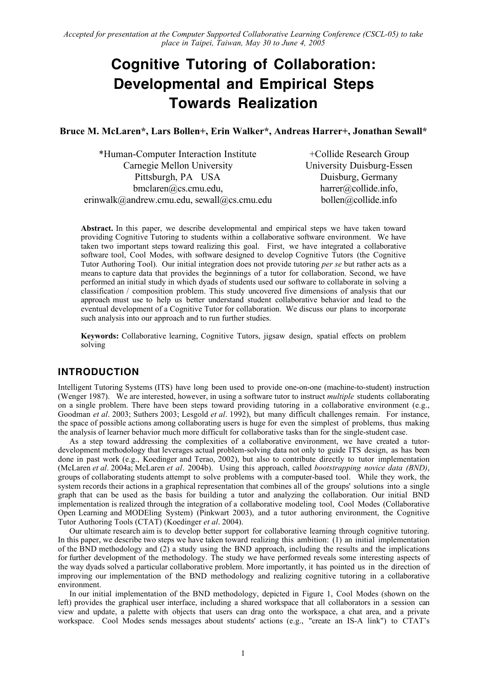*Accepted for presentation at the Computer Supported Collaborative Learning Conference (CSCL-05) to take place in Taipei, Taiwan, May 30 to June 4, 2005*

# **Cognitive Tutoring of Collaboration: Developmental and Empirical Steps Towards Realization**

Bruce M. McLaren\*, Lars Bollen+, Erin Walker\*, Andreas Harrer+, Jonathan Sewall\*

\*Human-Computer Interaction Institute Carnegie Mellon University Pittsburgh, PA USA bmclaren@cs.cmu.edu, erinwalk@andrew.cmu.edu, sewall@cs.cmu.edu

+Collide Research Group University Duisburg-Essen Duisburg, Germany harrer@collide.info, bollen@collide.info

Abstract. In this paper, we describe developmental and empirical steps we have taken toward providing Cognitive Tutoring to students within a collaborative software environment. We have taken two important steps toward realizing this goal. First, we have integrated a collaborative software tool, Cool Modes, with software designed to develop Cognitive Tutors (the Cognitive Tutor Authoring Tool). Our initial integration does not provide tutoring *per se* but rather acts as a means to capture data that provides the beginnings of a tutor for collaboration. Second, we have performed an initial study in which dyads of students used our software to collaborate in solving a classification / composition problem. This study uncovered five dimensions of analysis that our approach must use to help us better understand student collaborative behavior and lead to the eventual development of a Cognitive Tutor for collaboration. We discuss our plans to incorporate such analysis into our approach and to run further studies.

Keywords: Collaborative learning, Cognitive Tutors, jigsaw design, spatial effects on problem solving

# **INTRODUCTION**

Intelligent Tutoring Systems (ITS) have long been used to provide one-on-one (machine-to-student) instruction (Wenger 1987). We are interested, however, in using a software tutor to instruct *multiple* students collaborating on a single problem. There have been steps toward providing tutoring in a collaborative environment (e.g., Goodman *et al*. 2003; Suthers 2003; Lesgold *et al*. 1992), but many difficult challenges remain. For instance, the space of possible actions among collaborating users is huge for even the simplest of problems, thus making the analysis of learner behavior much more difficult for collaborative tasks than for the single-student case.

As a step toward addressing the complexities of a collaborative environment, we have created a tutordevelopment methodology that leverages actual problem-solving data not only to guide ITS design, as has been done in past work (e.g., Koedinger and Terao, 2002), but also to contribute directly to tutor implementation (McLaren *et al*. 2004a; McLaren *et al*. 2004b). Using this approach, called *bootstrapping novice data (BND)*, groups of collaborating students attempt to solve problems with a computer-based tool. While they work, the system records their actions in a graphical representation that combines all of the groups' solutions into a single graph that can be used as the basis for building a tutor and analyzing the collaboration. Our initial BND implementation is realized through the integration of a collaborative modeling tool, Cool Modes (Collaborative Open Learning and MODEling System) (Pinkwart 2003), and a tutor authoring environment, the Cognitive Tutor Authoring Tools (CTAT) (Koedinger *et al*. 2004).

Our ultimate research aim is to develop better support for collaborative learning through cognitive tutoring. In this paper, we describe two steps we have taken toward realizing this ambition: (1) an initial implementation of the BND methodology and (2) a study using the BND approach, including the results and the implications for further development of the methodology. The study we have performed reveals some interesting aspects of the way dyads solved a particular collaborative problem. More importantly, it has pointed us in the direction of improving our implementation of the BND methodology and realizing cognitive tutoring in a collaborative environment.

In our initial implementation of the BND methodology, depicted in Figure 1, Cool Modes (shown on the left) provides the graphical user interface, including a shared workspace that all collaborators in a session can view and update, a palette with objects that users can drag onto the workspace, a chat area, and a private workspace. Cool Modes sends messages about students' actions (e.g., "create an IS-A link") to CTAT's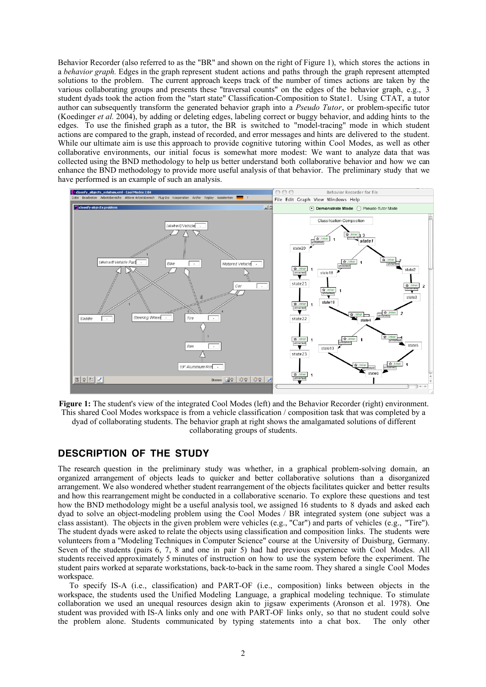Behavior Recorder (also referred to as the "BR" and shown on the right of Figure 1), which stores the actions in a *behavior graph.* Edges in the graph represent student actions and paths through the graph represent attempted solutions to the problem. The current approach keeps track of the number of times actions are taken by the various collaborating groups and presents these "traversal counts" on the edges of the behavior graph, e.g., 3 student dyads took the action from the "start state" Classification-Composition to State1. Using CTAT, a tutor author can subsequently transform the generated behavior graph into a *Pseudo Tutor*, or problem-specific tutor (Koedinger *et al.* 2004), by adding or deleting edges, labeling correct or buggy behavior, and adding hints to the edges. To use the finished graph as a tutor, the BR is switched to "model-tracing" mode in which student actions are compared to the graph, instead of recorded, and error messages and hints are delivered to the student. While our ultimate aim is use this approach to provide cognitive tutoring within Cool Modes, as well as other collaborative environments, our initial focus is somewhat more modest: We want to analyze data that was collected using the BND methodology to help us better understand both collaborative behavior and how we can enhance the BND methodology to provide more useful analysis of that behavior. The preliminary study that we have performed is an example of such an analysis.



Figure 1: The student's view of the integrated Cool Modes (left) and the Behavior Recorder (right) environment. This shared Cool Modes workspace is from a vehicle classification / composition task that was completed by a dyad of collaborating students. The behavior graph at right shows the amalgamated solutions of different collaborating groups of students.

# **DESCRIPTION OF THE STUDY**

The research question in the preliminary study was whether, in a graphical problem-solving domain, an organized arrangement of objects leads to quicker and better collaborative solutions than a disorganized arrangement. We also wondered whether student rearrangement of the objects facilitates quicker and better results and how this rearrangement might be conducted in a collaborative scenario. To explore these questions and test how the BND methodology might be a useful analysis tool, we assigned 16 students to 8 dyads and asked each dyad to solve an object-modeling problem using the Cool Modes / BR integrated system (one subject was a class assistant). The objects in the given problem were vehicles (e.g., "Car") and parts of vehicles (e.g., "Tire"). The student dyads were asked to relate the objects using classification and composition links. The students were volunteers from a "Modeling Techniques in Computer Science" course at the University of Duisburg, Germany. Seven of the students (pairs 6, 7, 8 and one in pair 5) had had previous experience with Cool Modes. All students received approximately 5 minutes of instruction on how to use the system before the experiment. The student pairs worked at separate workstations, back-to-back in the same room. They shared a single Cool Modes workspace.

To specify IS-A (i.e., classification) and PART-OF (i.e., composition) links between objects in the workspace, the students used the Unified Modeling Language, a graphical modeling technique. To stimulate collaboration we used an unequal resources design akin to jigsaw experiments (Aronson et al. 1978). One student was provided with IS-A links only and one with PART-OF links only, so that no student could solve the problem alone. Students communicated by typing statements into a chat box. The only other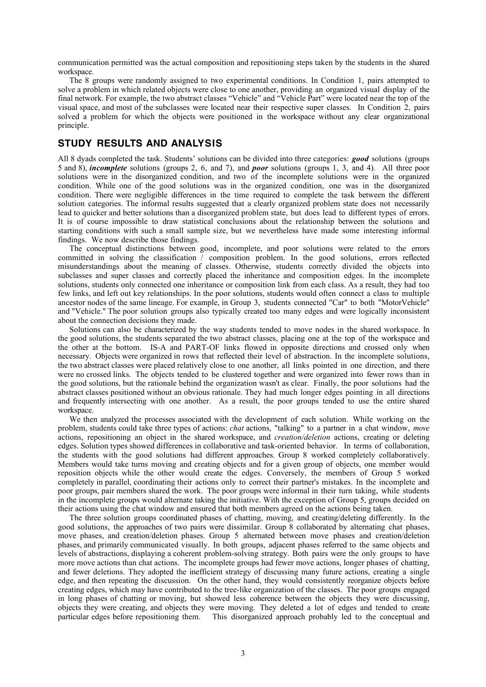communication permitted was the actual composition and repositioning steps taken by the students in the shared workspace.

The 8 groups were randomly assigned to two experimental conditions. In Condition 1, pairs attempted to solve a problem in which related objects were close to one another, providing an organized visual display of the final network. For example, the two abstract classes "Vehicle" and "Vehicle Part" were located near the top of the visual space, and most of the subclasses were located near their respective super classes. In Condition 2, pairs solved a problem for which the objects were positioned in the workspace without any clear organizational principle.

## **STUDY RESULTS AND ANALYSIS**

All 8 dyads completed the task. Students' solutions can be divided into three categories: *good* solutions (groups 5 and 8), *incomplete* solutions (groups 2, 6, and 7), and *poor* solutions (groups 1, 3, and 4). All three poor solutions were in the disorganized condition, and two of the incomplete solutions were in the organized condition. While one of the good solutions was in the organized condition, one was in the disorganized condition. There were negligible differences in the time required to complete the task between the different solution categories. The informal results suggested that a clearly organized problem state does not necessarily lead to quicker and better solutions than a disorganized problem state, but does lead to different types of errors. It is of course impossible to draw statistical conclusions about the relationship between the solutions and starting conditions with such a small sample size, but we nevertheless have made some interesting informal findings. We now describe those findings.

The conceptual distinctions between good, incomplete, and poor solutions were related to the errors committed in solving the classification  $\overline{\prime}$  composition problem. In the good solutions, errors reflected misunderstandings about the meaning of classes. Otherwise, students correctly divided the objects into subclasses and super classes and correctly placed the inheritance and composition edges. In the incomplete solutions, students only connected one inheritance or composition link from each class. As a result, they had too few links, and left out key relationships. In the poor solutions, students would often connect a class to multiple ancestor nodes of the same lineage. For example, in Group 3, students connected "Car" to both "MotorVehicle" and "Vehicle." The poor solution groups also typically created too many edges and were logically inconsistent about the connection decisions they made.

Solutions can also be characterized by the way students tended to move nodes in the shared workspace. In the good solutions, the students separated the two abstract classes, placing one at the top of the workspace and the other at the bottom. IS-A and PART-OF links flowed in opposite directions and crossed only when necessary. Objects were organized in rows that reflected their level of abstraction. In the incomplete solutions, the two abstract classes were placed relatively close to one another, all links pointed in one direction, and there were no crossed links. The objects tended to be clustered together and were organized into fewer rows than in the good solutions, but the rationale behind the organization wasn't as clear. Finally, the poor solutions had the abstract classes positioned without an obvious rationale. They had much longer edges pointing in all directions and frequently intersecting with one another. As a result, the poor groups tended to use the entire shared workspace.

We then analyzed the processes associated with the development of each solution. While working on the problem, students could take three types of actions: *chat* actions, "talking" to a partner in a chat window, *move* actions, repositioning an object in the shared workspace, and *creation/deletion* actions, creating or deleting edges. Solution types showed differences in collaborative and task-oriented behavior. In terms of collaboration, the students with the good solutions had different approaches. Group 8 worked completely collaboratively. Members would take turns moving and creating objects and for a given group of objects, one member would reposition objects while the other would create the edges. Conversely, the members of Group 5 worked completely in parallel, coordinating their actions only to correct their partner's mistakes. In the incomplete and poor groups, pair members shared the work. The poor groups were informal in their turn taking, while students in the incomplete groups would alternate taking the initiative. With the exception of Group 5, groups decided on their actions using the chat window and ensured that both members agreed on the actions being taken.

The three solution groups coordinated phases of chatting, moving, and creating/deleting differently. In the good solutions, the approaches of two pairs were dissimilar. Group 8 collaborated by alternating chat phases, move phases, and creation/deletion phases. Group 5 alternated between move phases and creation/deletion phases, and primarily communicated visually. In both groups, adjacent phases referred to the same objects and levels of abstractions, displaying a coherent problem-solving strategy. Both pairs were the only groups to have more move actions than chat actions. The incomplete groups had fewer move actions, longer phases of chatting, and fewer deletions. They adopted the inefficient strategy of discussing many future actions, creating a single edge, and then repeating the discussion. On the other hand, they would consistently reorganize objects before creating edges, which may have contributed to the tree-like organization of the classes. The poor groups engaged in long phases of chatting or moving, but showed less coherence between the objects they were discussing, objects they were creating, and objects they were moving. They deleted a lot of edges and tended to create particular edges before repositioning them. This disorganized approach probably led to the conceptual and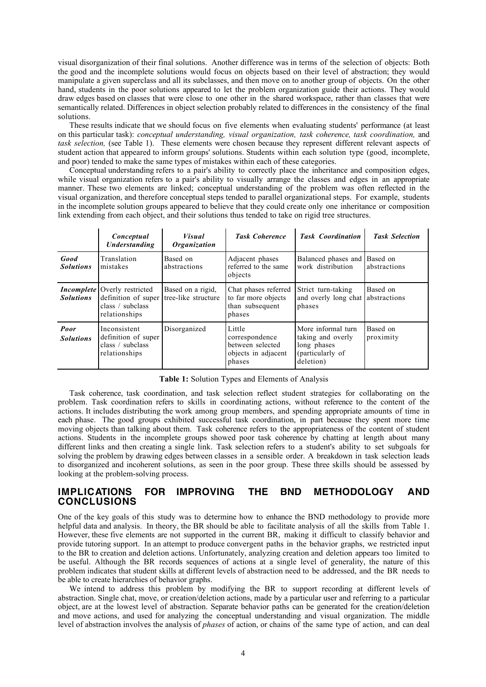visual disorganization of their final solutions. Another difference was in terms of the selection of objects: Both the good and the incomplete solutions would focus on objects based on their level of abstraction; they would manipulate a given superclass and all its subclasses, and then move on to another group of objects. On the other hand, students in the poor solutions appeared to let the problem organization guide their actions. They would draw edges based on classes that were close to one other in the shared workspace, rather than classes that were semantically related. Differences in object selection probably related to differences in the consistency of the final solutions.

These results indicate that we should focus on five elements when evaluating students' performance (at least on this particular task): *conceptual understanding, visual organization, task coherence, task coordination,* and *task selection,* (see Table 1). These elements were chosen because they represent different relevant aspects of student action that appeared to inform groups' solutions. Students within each solution type (good, incomplete, and poor) tended to make the same types of mistakes within each of these categories.

Conceptual understanding refers to a pair's ability to correctly place the inheritance and composition edges, while visual organization refers to a pair's ability to visually arrange the classes and edges in an appropriate manner. These two elements are linked; conceptual understanding of the problem was often reflected in the visual organization, and therefore conceptual steps tended to parallel organizational steps. For example, students in the incomplete solution groups appeared to believe that they could create only one inheritance or composition link extending from each object, and their solutions thus tended to take on rigid tree structures.

|                                       | Conceptual<br>Understanding                                                   | <i>Visual</i><br><b>Organization</b>     | <b>Task Coherence</b>                                                         | <b>Task Coordination</b>                                                                | <b>Task Selection</b>    |
|---------------------------------------|-------------------------------------------------------------------------------|------------------------------------------|-------------------------------------------------------------------------------|-----------------------------------------------------------------------------------------|--------------------------|
| Good<br><b>Solutions</b>              | Translation<br>mistakes                                                       | Based on<br>abstractions                 | Adjacent phases<br>referred to the same<br>objects                            | Balanced phases and<br>work distribution                                                | Based on<br>abstractions |
| <i>Incomplete</i><br><b>Solutions</b> | Overly restricted<br>definition of super<br>class / subclass<br>relationships | Based on a rigid,<br>tree-like structure | Chat phases referred<br>to far more objects<br>than subsequent<br>phases      | Strict turn-taking<br>and overly long chat abstractions<br>phases                       | Based on                 |
| Poor<br><b>Solutions</b>              | Inconsistent<br>definition of super<br>class / subclass<br>relationships      | Disorganized                             | Little<br>correspondence<br>between selected<br>objects in adjacent<br>phases | More informal turn<br>taking and overly<br>long phases<br>(particularly of<br>deletion) | Based on<br>proximity    |

|  |  |  |  | Table 1: Solution Types and Elements of Analysis |
|--|--|--|--|--------------------------------------------------|
|--|--|--|--|--------------------------------------------------|

Task coherence, task coordination, and task selection reflect student strategies for collaborating on the problem. Task coordination refers to skills in coordinating actions, without reference to the content of the actions. It includes distributing the work among group members, and spending appropriate amounts of time in each phase. The good groups exhibited successful task coordination, in part because they spent more time moving objects than talking about them. Task coherence refers to the appropriateness of the content of student actions. Students in the incomplete groups showed poor task coherence by chatting at length about many different links and then creating a single link. Task selection refers to a student's ability to set subgoals for solving the problem by drawing edges between classes in a sensible order. A breakdown in task selection leads to disorganized and incoherent solutions, as seen in the poor group. These three skills should be assessed by looking at the problem-solving process.

### **IMPLICATIONS FOR IMPROVING THE BND METHODOLOGY AND CONCLUSIONS**

One of the key goals of this study was to determine how to enhance the BND methodology to provide more helpful data and analysis. In theory, the BR should be able to facilitate analysis of all the skills from Table 1. However, these five elements are not supported in the current BR, making it difficult to classify behavior and provide tutoring support. In an attempt to produce convergent paths in the behavior graphs, we restricted input to the BR to creation and deletion actions. Unfortunately, analyzing creation and deletion appears too limited to be useful. Although the BR records sequences of actions at a single level of generality, the nature of this problem indicates that student skills at different levels of abstraction need to be addressed, and the BR needs to be able to create hierarchies of behavior graphs.

We intend to address this problem by modifying the BR to support recording at different levels of abstraction. Single chat, move, or creation/deletion actions, made by a particular user and referring to a particular object, are at the lowest level of abstraction. Separate behavior paths can be generated for the creation/deletion and move actions, and used for analyzing the conceptual understanding and visual organization. The middle level of abstraction involves the analysis of *phases* of action, or chains of the same type of action, and can deal